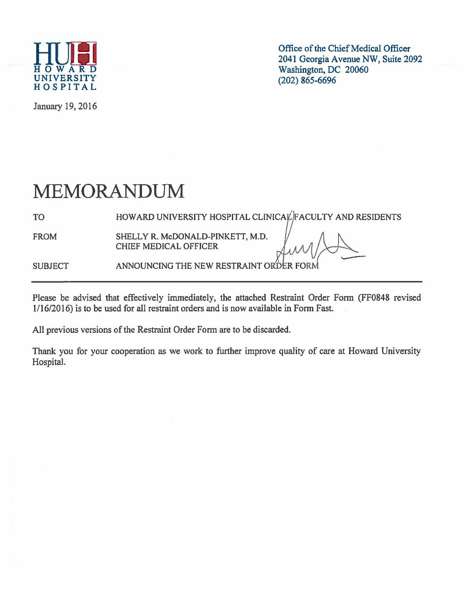

January 19, 2016

Office of the Chief Medical Officer<br>2041 Georgia Avenue NW, Suite 2092  $\overline{H}$   $\overline{O}$   $\overline{W}$   $\overline{A}$   $\overline{R}$   $\overline{D}$ <br>UNIVERSITY (2006) 865-6696

## MEMORANDUM

TO HOWARD UNIVERSITY HOSPITAL CLINICAL FACULTY AND RESIDENTS

FROM SHELLY R. McDONALD-PINKETT, M.D. CHIEF MEDICAL OFFICER

SUBJECT ANNOUNCING THE NEW RESTRAINT ORDER FORM

Please be advised that effectively immediately, the attached Restraint Order Form (FF0848 revised 1/16/2016) is to be used for all restraint orders and is now available in Form Fast.

All previous versions of the Restraint Order Form are to be discarded.

Thank you for your cooperation as we work to further improve quality of care at Howard University Hospital.